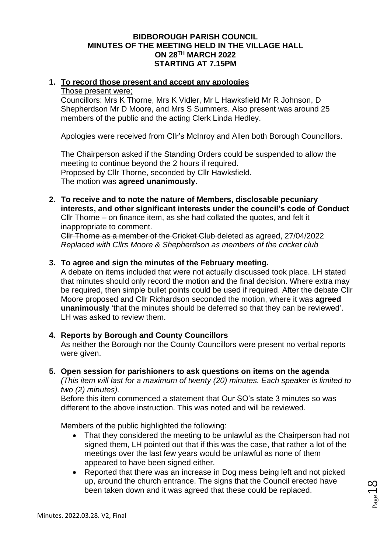## **BIDBOROUGH PARISH COUNCIL MINUTES OF THE MEETING HELD IN THE VILLAGE HALL ON 28TH MARCH 2022 STARTING AT 7.15PM**

## **1. To record those present and accept any apologies**

### Those present were;

Councillors: Mrs K Thorne, Mrs K Vidler, Mr L Hawksfield Mr R Johnson, D Shepherdson Mr D Moore, and Mrs S Summers. Also present was around 25 members of the public and the acting Clerk Linda Hedley.

Apologies were received from Cllr's McInroy and Allen both Borough Councillors.

The Chairperson asked if the Standing Orders could be suspended to allow the meeting to continue beyond the 2 hours if required. Proposed by Cllr Thorne, seconded by Cllr Hawksfield. The motion was **agreed unanimously**.

**2. To receive and to note the nature of Members, disclosable pecuniary interests, and other significant interests under the council's code of Conduct** Cllr Thorne – on finance item, as she had collated the quotes, and felt it

inappropriate to comment.

Cllr Thorne as a member of the Cricket Club deleted as agreed, 27/04/2022 *Replaced with Cllrs Moore & Shepherdson as members of the cricket club*

## **3. To agree and sign the minutes of the February meeting.**

A debate on items included that were not actually discussed took place. LH stated that minutes should only record the motion and the final decision. Where extra may be required, then simple bullet points could be used if required. After the debate Cllr Moore proposed and Cllr Richardson seconded the motion, where it was **agreed unanimously** 'that the minutes should be deferred so that they can be reviewed'. LH was asked to review them.

# **4. Reports by Borough and County Councillors**

As neither the Borough nor the County Councillors were present no verbal reports were given.

#### **5. Open session for parishioners to ask questions on items on the agenda**

*(This item will last for a maximum of twenty (20) minutes. Each speaker is limited to two (2) minutes).*

Before this item commenced a statement that Our SO's state 3 minutes so was different to the above instruction. This was noted and will be reviewed.

Members of the public highlighted the following:

- That they considered the meeting to be unlawful as the Chairperson had not signed them, LH pointed out that if this was the case, that rather a lot of the meetings over the last few years would be unlawful as none of them appeared to have been signed either.
- Reported that there was an increase in Dog mess being left and not picked up, around the church entrance. The signs that the Council erected have been taken down and it was agreed that these could be replaced.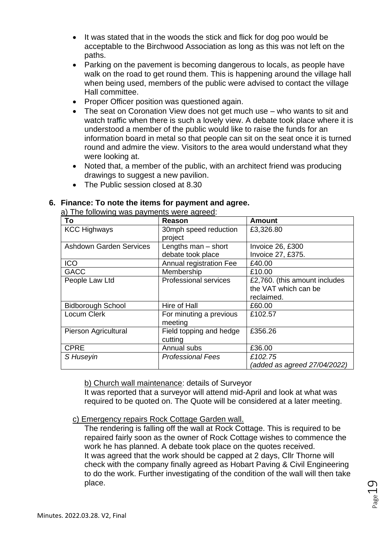- It was stated that in the woods the stick and flick for dog poo would be acceptable to the Birchwood Association as long as this was not left on the paths.
- Parking on the pavement is becoming dangerous to locals, as people have walk on the road to get round them. This is happening around the village hall when being used, members of the public were advised to contact the village Hall committee.
- Proper Officer position was questioned again.
- The seat on Coronation View does not get much use who wants to sit and watch traffic when there is such a lovely view. A debate took place where it is understood a member of the public would like to raise the funds for an information board in metal so that people can sit on the seat once it is turned round and admire the view. Visitors to the area would understand what they were looking at.
- Noted that, a member of the public, with an architect friend was producing drawings to suggest a new pavilion.
- The Public session closed at 8.30

# **6. Finance: To note the items for payment and agree.**

a) The following was payments were agreed:

| To                             | Reason                       | <b>Amount</b>                 |
|--------------------------------|------------------------------|-------------------------------|
| <b>KCC Highways</b>            | 30mph speed reduction        | £3,326.80                     |
|                                | project                      |                               |
| <b>Ashdown Garden Services</b> | Lengths man $-$ short        | Invoice 26, £300              |
|                                | debate took place            | Invoice 27, £375.             |
| <b>ICO</b>                     | Annual registration Fee      | £40.00                        |
| <b>GACC</b>                    | Membership                   | £10.00                        |
| People Law Ltd                 | <b>Professional services</b> | £2,760. (this amount includes |
|                                |                              | the VAT which can be          |
|                                |                              | reclaimed.                    |
| <b>Bidborough School</b>       | Hire of Hall                 | £60.00                        |
| Locum Clerk                    | For minuting a previous      | £102.57                       |
|                                | meeting                      |                               |
| Pierson Agricultural           | Field topping and hedge      | £356.26                       |
|                                | cutting                      |                               |
| <b>CPRE</b>                    | Annual subs                  | £36.00                        |
| S Huseyin                      | <b>Professional Fees</b>     | £102.75                       |
|                                |                              | (added as agreed 27/04/2022)  |

b) Church wall maintenance: details of Surveyor

It was reported that a surveyor will attend mid-April and look at what was required to be quoted on. The Quote will be considered at a later meeting.

# c) Emergency repairs Rock Cottage Garden wall.

The rendering is falling off the wall at Rock Cottage. This is required to be repaired fairly soon as the owner of Rock Cottage wishes to commence the work he has planned. A debate took place on the quotes received. It was agreed that the work should be capped at 2 days, Cllr Thorne will check with the company finally agreed as Hobart Paving & Civil Engineering to do the work. Further investigating of the condition of the wall will then take place.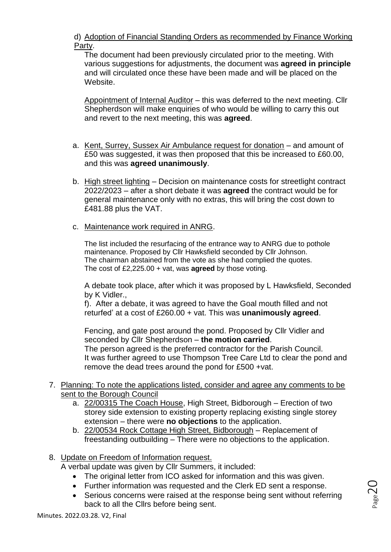d) Adoption of Financial Standing Orders as recommended by Finance Working Party.

The document had been previously circulated prior to the meeting. With various suggestions for adjustments, the document was **agreed in principle** and will circulated once these have been made and will be placed on the Website.

Appointment of Internal Auditor – this was deferred to the next meeting. Cllr Shepherdson will make enquiries of who would be willing to carry this out and revert to the next meeting, this was **agreed**.

- a. Kent, Surrey, Sussex Air Ambulance request for donation and amount of £50 was suggested, it was then proposed that this be increased to £60.00, and this was **agreed unanimously**.
- b. High street lighting Decision on maintenance costs for streetlight contract 2022/2023 – after a short debate it was **agreed** the contract would be for general maintenance only with no extras, this will bring the cost down to £481.88 plus the VAT.
- c. Maintenance work required in ANRG.

The list included the resurfacing of the entrance way to ANRG due to pothole maintenance. Proposed by Cllr Hawksfield seconded by Cllr Johnson. The chairman abstained from the vote as she had complied the quotes. The cost of £2,225.00 + vat, was **agreed** by those voting.

A debate took place, after which it was proposed by L Hawksfield, Seconded by K Vidler.,

f). After a debate, it was agreed to have the Goal mouth filled and not returfed' at a cost of £260.00 + vat. This was **unanimously agreed**.

Fencing, and gate post around the pond. Proposed by Cllr Vidler and seconded by Cllr Shepherdson – **the motion carried**.

The person agreed is the preferred contractor for the Parish Council. It was further agreed to use Thompson Tree Care Ltd to clear the pond and remove the dead trees around the pond for £500 +vat.

- 7. Planning: To note the applications listed, consider and agree any comments to be sent to the Borough Council
	- a. 22/00315 The Coach House, High Street, Bidborough Erection of two storey side extension to existing property replacing existing single storey extension – there were **no objections** to the application.
	- b. 22/00534 Rock Cottage High Street, Bidborough Replacement of freestanding outbuilding – There were no objections to the application.

# 8. Update on Freedom of Information request.

A verbal update was given by Cllr Summers, it included:

- The original letter from ICO asked for information and this was given.
- Further information was requested and the Clerk ED sent a response.
- Serious concerns were raised at the response being sent without referring back to all the Cllrs before being sent.